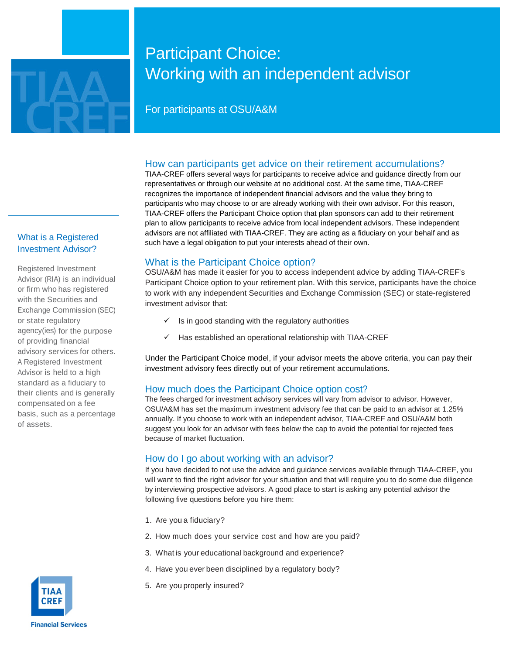

# Participant Choice: Working with an independent advisor

# For participants at OSU/A&M

## How can participants get advice on their retirement accumulations?

TIAA-CREF offers several ways for participants to receive advice and guidance directly from our representatives or through our website at no additional cost. At the same time, TIAA-CREF recognizes the importance of independent financial advisors and the value they bring to participants who may choose to or are already working with their own advisor. For this reason, TIAA-CREF offers the Participant Choice option that plan sponsors can add to their retirement plan to allow participants to receive advice from local independent advisors. These independent advisors are not affiliated with TIAA-CREF. They are acting as a fiduciary on your behalf and as such have a legal obligation to put your interests ahead of their own.

## What is the Participant Choice option?

OSU/A&M has made it easier for you to access independent advice by adding TIAA-CREF's Participant Choice option to your retirement plan. With this service, participants have the choice to work with any independent Securities and Exchange Commission (SEC) or state-registered investment advisor that:

- $\checkmark$  Is in good standing with the regulatory authorities
- $\checkmark$  Has established an operational relationship with TIAA-CREF

Under the Participant Choice model, if your advisor meets the above criteria, you can pay their investment advisory fees directly out of your retirement accumulations.

## How much does the Participant Choice option cost?

The fees charged for investment advisory services will vary from advisor to advisor. However, OSU/A&M has set the maximum investment advisory fee that can be paid to an advisor at 1.25% annually. If you choose to work with an independent advisor, TIAA-CREF and OSU/A&M both suggest you look for an advisor with fees below the cap to avoid the potential for rejected fees because of market fluctuation.

## How do I go about working with an advisor?

If you have decided to not use the advice and guidance services available through TIAA-CREF, you will want to find the right advisor for your situation and that will require you to do some due diligence by interviewing prospective advisors. A good place to start is asking any potential advisor the following five questions before you hire them:

- 1. Are you a fiduciary?
- 2. How much does your service cost and how are you paid?
- 3. What is your educational background and experience?
- 4. Have you ever been disciplined by a regulatory body?
- 5. Are you properly insured?

## What is a Registered Investment Advisor?

Registered Investment Advisor (RIA) is an individual or firm who has registered with the Securities and Exchange Commission (SEC) or state regulatory agency(ies) for the purpose of providing financial advisory services for others. A Registered Investment Advisor is held to a high standard as a fiduciary to their clients and is generally compensated on a fee basis, such as a percentage of assets.